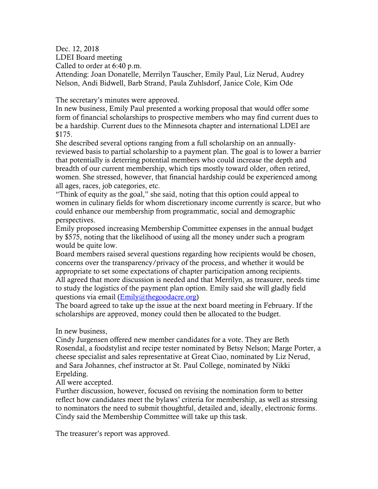Dec. 12, 2018

LDEI Board meeting

Called to order at 6:40 p.m.

Attending: Joan Donatelle, Merrilyn Tauscher, Emily Paul, Liz Nerud, Audrey Nelson, Andi Bidwell, Barb Strand, Paula Zuhlsdorf, Janice Cole, Kim Ode

The secretary's minutes were approved.

In new business, Emily Paul presented a working proposal that would offer some form of financial scholarships to prospective members who may find current dues to be a hardship. Current dues to the Minnesota chapter and international LDEI are \$175.

She described several options ranging from a full scholarship on an annuallyreviewed basis to partial scholarship to a payment plan. The goal is to lower a barrier that potentially is deterring potential members who could increase the depth and breadth of our current membership, which tips mostly toward older, often retired, women. She stressed, however, that financial hardship could be experienced among all ages, races, job categories, etc.

"Think of equity as the goal," she said, noting that this option could appeal to women in culinary fields for whom discretionary income currently is scarce, but who could enhance our membership from programmatic, social and demographic perspectives.

Emily proposed increasing Membership Committee expenses in the annual budget by \$575, noting that the likelihood of using all the money under such a program would be quite low.

Board members raised several questions regarding how recipients would be chosen, concerns over the transparency/privacy of the process, and whether it would be appropriate to set some expectations of chapter participation among recipients. All agreed that more discussion is needed and that Merrilyn, as treasurer, needs time to study the logistics of the payment plan option. Emily said she will gladly field questions via email [\(Emily@thegoodacre.org\)](mailto:Emily@thegoodacre.org)

The board agreed to take up the issue at the next board meeting in February. If the scholarships are approved, money could then be allocated to the budget.

In new business,

Cindy Jurgensen offered new member candidates for a vote. They are Beth Rosendal, a foodstylist and recipe tester nominated by Betsy Nelson; Marge Porter, a cheese specialist and sales representative at Great Ciao, nominated by Liz Nerud, and Sara Johannes, chef instructor at St. Paul College, nominated by Nikki Erpelding.

All were accepted.

Further discussion, however, focused on revising the nomination form to better reflect how candidates meet the bylaws' criteria for membership, as well as stressing to nominators the need to submit thoughtful, detailed and, ideally, electronic forms. Cindy said the Membership Committee will take up this task.

The treasurer's report was approved.